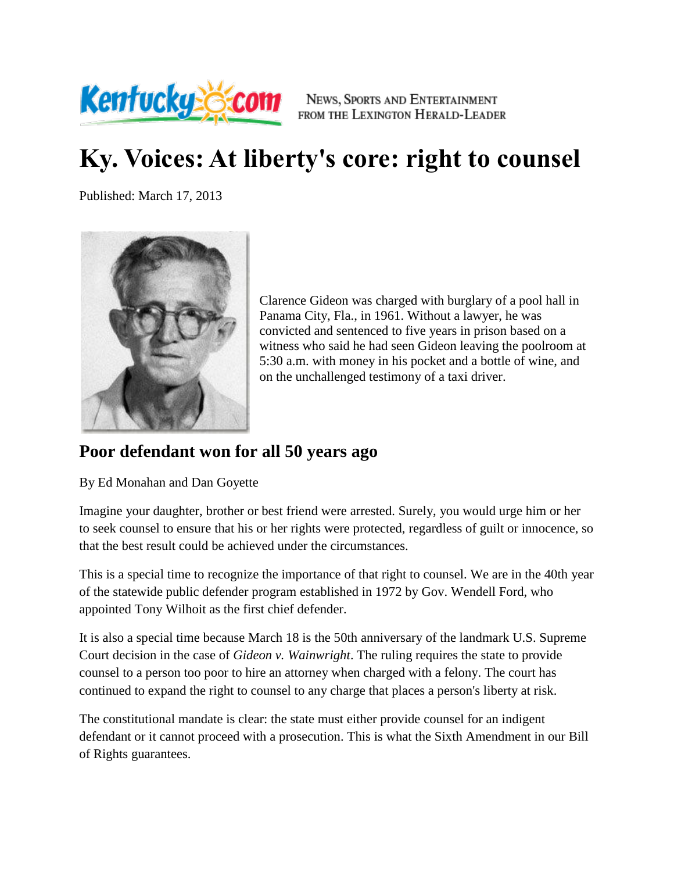

NEWS, SPORTS AND ENTERTAINMENT FROM THE LEXINGTON HERALD-LEADER

## **Ky. Voices: At liberty's core: right to counsel**

Published: March 17, 2013



Clarence Gideon was charged with burglary of a pool hall in Panama City, Fla., in 1961. Without a lawyer, he was convicted and sentenced to five years in prison based on a witness who said he had seen Gideon leaving the poolroom at 5:30 a.m. with money in his pocket and a bottle of wine, and on the unchallenged testimony of a taxi driver.

## **Poor defendant won for all 50 years ago**

By Ed Monahan and Dan Goyette

Imagine your daughter, brother or best friend were arrested. Surely, you would urge him or her to seek counsel to ensure that his or her rights were protected, regardless of guilt or innocence, so that the best result could be achieved under the circumstances.

This is a special time to recognize the importance of that right to counsel. We are in the 40th year of the statewide public defender program established in 1972 by Gov. Wendell Ford, who appointed Tony Wilhoit as the first chief defender.

It is also a special time because March 18 is the 50th anniversary of the landmark U.S. Supreme Court decision in the case of *Gideon v. Wainwright*. The ruling requires the state to provide counsel to a person too poor to hire an attorney when charged with a felony. The court has continued to expand the right to counsel to any charge that places a person's liberty at risk.

The constitutional mandate is clear: the state must either provide counsel for an indigent defendant or it cannot proceed with a prosecution. This is what the Sixth Amendment in our Bill of Rights guarantees.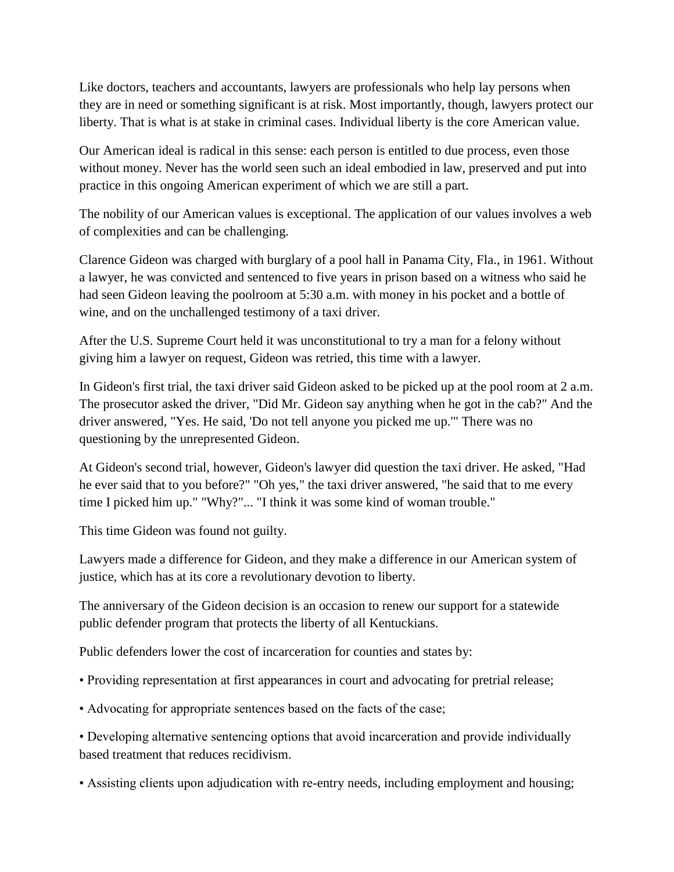Like doctors, teachers and accountants, lawyers are professionals who help lay persons when they are in need or something significant is at risk. Most importantly, though, lawyers protect our liberty. That is what is at stake in criminal cases. Individual liberty is the core American value.

Our American ideal is radical in this sense: each person is entitled to due process, even those without money. Never has the world seen such an ideal embodied in law, preserved and put into practice in this ongoing American experiment of which we are still a part.

The nobility of our American values is exceptional. The application of our values involves a web of complexities and can be challenging.

Clarence Gideon was charged with burglary of a pool hall in Panama City, Fla., in 1961. Without a lawyer, he was convicted and sentenced to five years in prison based on a witness who said he had seen Gideon leaving the poolroom at 5:30 a.m. with money in his pocket and a bottle of wine, and on the unchallenged testimony of a taxi driver.

After the U.S. Supreme Court held it was unconstitutional to try a man for a felony without giving him a lawyer on request, Gideon was retried, this time with a lawyer.

In Gideon's first trial, the taxi driver said Gideon asked to be picked up at the pool room at 2 a.m. The prosecutor asked the driver, "Did Mr. Gideon say anything when he got in the cab?" And the driver answered, "Yes. He said, 'Do not tell anyone you picked me up.'" There was no questioning by the unrepresented Gideon.

At Gideon's second trial, however, Gideon's lawyer did question the taxi driver. He asked, "Had he ever said that to you before?" "Oh yes," the taxi driver answered, "he said that to me every time I picked him up." "Why?"... "I think it was some kind of woman trouble."

This time Gideon was found not guilty.

Lawyers made a difference for Gideon, and they make a difference in our American system of justice, which has at its core a revolutionary devotion to liberty.

The anniversary of the Gideon decision is an occasion to renew our support for a statewide public defender program that protects the liberty of all Kentuckians.

Public defenders lower the cost of incarceration for counties and states by:

- Providing representation at first appearances in court and advocating for pretrial release;
- Advocating for appropriate sentences based on the facts of the case;

• Developing alternative sentencing options that avoid incarceration and provide individually based treatment that reduces recidivism.

• Assisting clients upon adjudication with re-entry needs, including employment and housing;